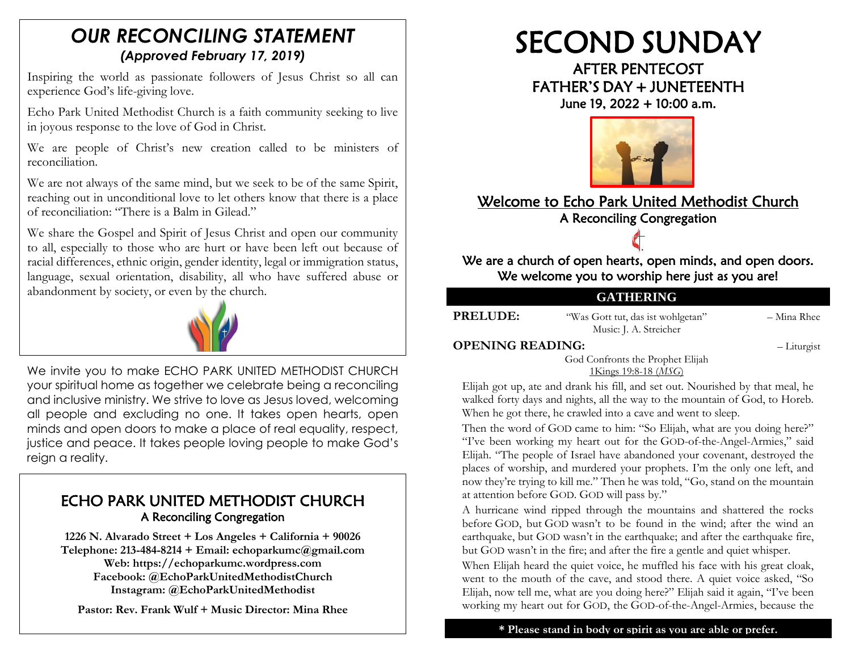# *OUR RECONCILING STATEMENT (Approved February 17, 2019)*

Inspiring the world as passionate followers of Jesus Christ so all can experience God's life-giving love.

Echo Park United Methodist Church is a faith community seeking to live in joyous response to the love of God in Christ.

We are people of Christ's new creation called to be ministers of reconciliation.

We are not always of the same mind, but we seek to be of the same Spirit, reaching out in unconditional love to let others know that there is a place of reconciliation: "There is a Balm in Gilead."

We share the Gospel and Spirit of Jesus Christ and open our community to all, especially to those who are hurt or have been left out because of racial differences, ethnic origin, gender identity, legal or immigration status, language, sexual orientation, disability, all who have suffered abuse or abandonment by society, or even by the church.



We invite you to make ECHO PARK UNITED METHODIST CHURCH your spiritual home as together we celebrate being a reconciling and inclusive ministry. We strive to love as Jesus loved, welcoming all people and excluding no one. It takes open hearts, open minds and open doors to make a place of real equality, respect, justice and peace. It takes people loving people to make God's reign a reality.

# ECHO PARK UNITED METHODIST CHURCH A Reconciling Congregation

**1226 N. Alvarado Street + Los Angeles + California + 90026 Telephone: 213-484-8214 + Email: echoparkumc@gmail.com Web: https://echoparkumc.wordpress.com Facebook: @EchoParkUnitedMethodistChurch Instagram: @EchoParkUnitedMethodist**

**Pastor: Rev. Frank Wulf + Music Director: Mina Rhee**

# SECOND SUNDAY

AFTER PENTECOST FATHER'S DAY <sup>+</sup> JUNETEENTH June 19, 2022 + 10:00 a.m.



# Welcome to Echo Park United Methodist Church A Reconciling Congregation



We are a church of open hearts, open minds, and open doors. We welcome you to worship here just as you are!

# **GATHERING**

**PRELUDE:** "Was Gott tut, das ist wohlgetan" – Mina Rhee Music: J. A. Streicher

#### **OPENING READING:** – Liturgist

God Confronts the Prophet Elijah

[1Kings 19:8-18](https://www.biblegateway.com/passage/?search=1+Kings+19%3A8-18&version=MSG) (*MSG*)

Elijah got up, ate and drank his fill, and set out. Nourished by that meal, he walked forty days and nights, all the way to the mountain of God, to Horeb. When he got there, he crawled into a cave and went to sleep.

Then the word of GOD came to him: "So Elijah, what are you doing here?" "I've been working my heart out for the GOD-of-the-Angel-Armies," said Elijah. "The people of Israel have abandoned your covenant, destroyed the places of worship, and murdered your prophets. I'm the only one left, and now they're trying to kill me." Then he was told, "Go, stand on the mountain at attention before GOD. GOD will pass by."

A hurricane wind ripped through the mountains and shattered the rocks before GOD, but GOD wasn't to be found in the wind; after the wind an earthquake, but GOD wasn't in the earthquake; and after the earthquake fire, but GOD wasn't in the fire; and after the fire a gentle and quiet whisper.

When Elijah heard the quiet voice, he muffled his face with his great cloak, went to the mouth of the cave, and stood there. A quiet voice asked, "So Elijah, now tell me, what are you doing here?" Elijah said it again, "I've been working my heart out for GOD, the GOD-of-the-Angel-Armies, because the

**\* Please stand in body or spirit as you are able or prefer.**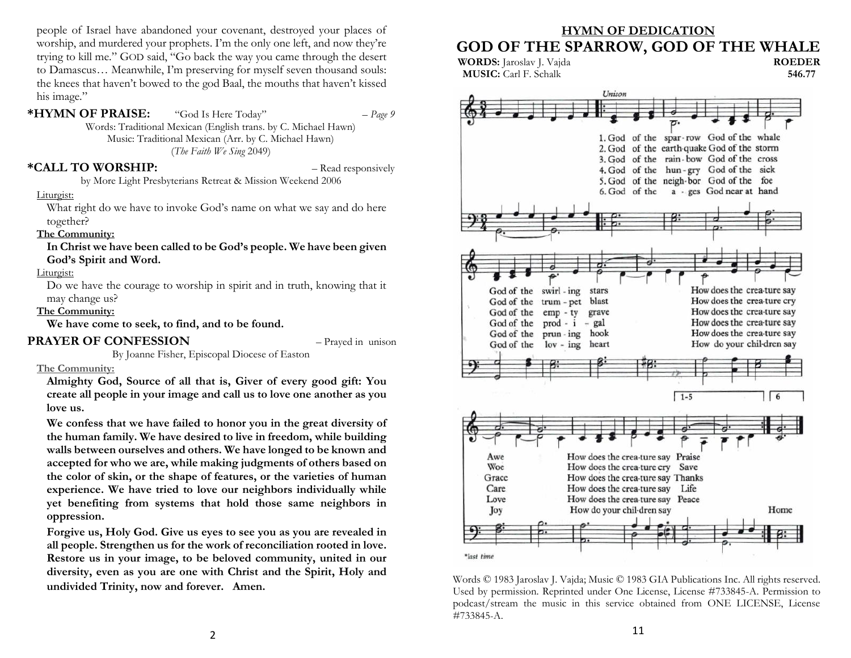people of Israel have abandoned your covenant, destroyed your places of worship, and murdered your prophets. I'm the only one left, and now they're trying to kill me." GOD said, "Go back the way you came through the desert to Damascus… Meanwhile, I'm preserving for myself seven thousand souls: the knees that haven't bowed to the god Baal, the mouths that haven't kissed his image."

**\*HYMN OF PRAISE:** "God Is Here Today" – *Page 9* Words: Traditional Mexican (English trans. by C. Michael Hawn) Music: Traditional Mexican (Arr. by C. Michael Hawn) (*The Faith We Sing* 2049)

#### **\*CALL TO WORSHIP:** – Read responsively

by More Light Presbyterians Retreat & Mission Weekend 2006

#### Liturgist:

What right do we have to invoke God's name on what we say and do here together?

#### **The Community:**

**In Christ we have been called to be God's people. We have been given God's Spirit and Word.**

#### Liturgist:

Do we have the courage to worship in spirit and in truth, knowing that it may change us?

#### **The Community:**

**We have come to seek, to find, and to be found.**

#### **PRAYER OF CONFESSION** – Prayed in unison

By Joanne Fisher, Episcopal Diocese of Easton

#### **The Community:**

**Almighty God, Source of all that is, Giver of every good gift: You create all people in your image and call us to love one another as you love us.**

**We confess that we have failed to honor you in the great diversity of the human family. We have desired to live in freedom, while building walls between ourselves and others. We have longed to be known and accepted for who we are, while making judgments of others based on the color of skin, or the shape of features, or the varieties of human experience. We have tried to love our neighbors individually while yet benefiting from systems that hold those same neighbors in oppression.**

**Forgive us, Holy God. Give us eyes to see you as you are revealed in all people. Strengthen us for the work of reconciliation rooted in love. Restore us in your image, to be beloved community, united in our diversity, even as you are one with Christ and the Spirit, Holy and undivided Trinity, now and forever.****Amen.**

#### **HYMN OF DEDICATION GOD OF THE SPARROW, GOD OF THE WHALE**



Words © 1983 Jaroslav J. Vajda; Music © 1983 GIA Publications Inc. All rights reserved. Used by permission. Reprinted under One License, License #733845-A. Permission to podcast/stream the music in this service obtained from ONE LICENSE, License #733845-A.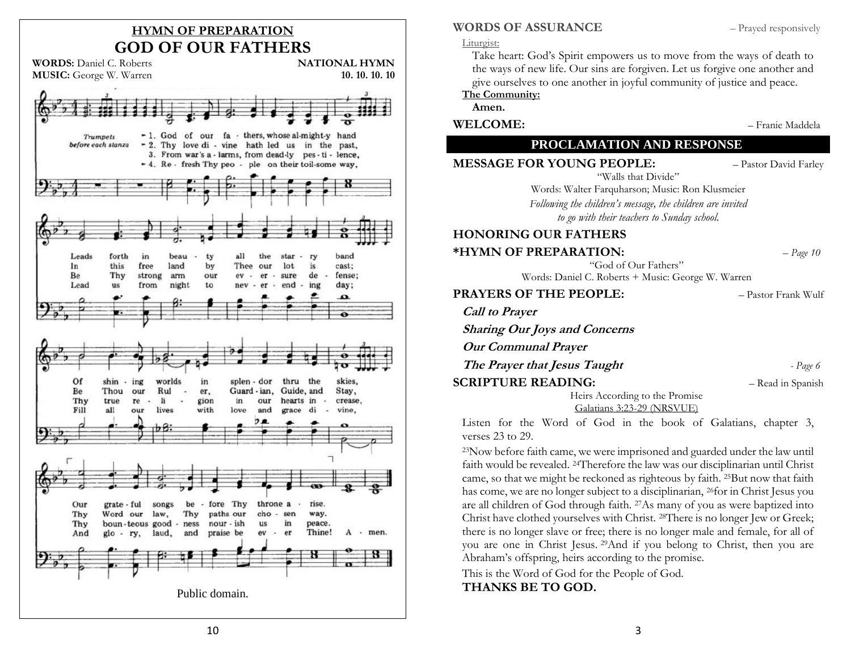# **HYMN OF PREPARATION GOD OF OUR FATHERS**



#### **WORDS OF ASSURANCE** – Prayed responsively

#### Liturgist:

Take heart: God's Spirit empowers us to move from the ways of death to the ways of new life. Our sins are forgiven. Let us forgive one another and give ourselves to one another in joyful community of justice and peace.

**The Community:**

**Amen.**

**WELCOME:** – Franie Maddela

#### **PROCLAMATION AND RESPONSE**

**MESSAGE FOR YOUNG PEOPLE:** - Pastor David Farley

"Walls that Divide" Words: Walter Farquharson; Music: Ron Klusmeier

*Following the children's message, the children are invited to go with their teachers to Sunday school.*

#### **HONORING OUR FATHERS**

**\*HYMN OF PREPARATION:** – *Page 10*

"God of Our Fathers" Words: Daniel C. Roberts + Music: George W. Warren

**PRAYERS OF THE PEOPLE:** – Pastor Frank Wulf **Call to Prayer Sharing Our Joys and Concerns**

**Our Communal Prayer**

**The Prayer that Jesus Taught** *- Page 6*

**SCRIPTURE READING:**  $-$  Read in Spanish

Heirs According to the Promise [Galatians 3:23-29](https://www.biblegateway.com/passage/?search=Galatians+3%3A23-29&version=NRSVUE) (NRSVUE)

Listen for the Word of God in the book of Galatians, chapter 3, verses 23 to 29.

<sup>23</sup>Now before faith came, we were imprisoned and guarded under the law until faith would be revealed. <sup>24</sup>Therefore the law was our disciplinarian until Christ came, so that we might be reckoned as righteous by faith. <sup>25</sup>But now that faith has come, we are no longer subject to a disciplinarian, <sup>26</sup>for in Christ Jesus you are all children of God through faith. <sup>27</sup>As many of you as were baptized into Christ have clothed yourselves with Christ. <sup>28</sup>There is no longer Jew or Greek; there is no longer slave or free; there is no longer male and female, for all of you are one in Christ Jesus. <sup>29</sup>And if you belong to Christ, then you are Abraham's offspring, heirs according to the promise.

This is the Word of God for the People of God.

#### **THANKS BE TO GOD.**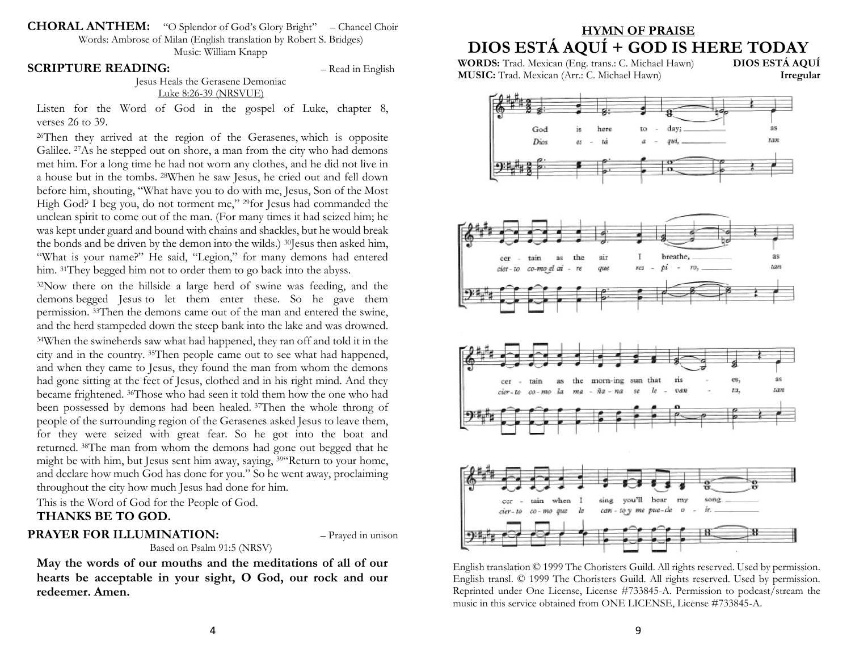**CHORAL ANTHEM:** "O Splendor of God's Glory Bright" – Chancel Choir Words: Ambrose of Milan (English translation by Robert S. Bridges)

Music: William Knapp

#### **SCRIPTURE READING:**  $-$  Read in English

Jesus Heals the Gerasene Demoniac [Luke 8:26-39](https://www.biblegateway.com/passage/?search=Luke+8%3A26-39&version=NRSVUE) (NRSVUE)

Listen for the Word of God in the gospel of Luke, chapter 8, verses 26 to 39.

<sup>26</sup>Then they arrived at the region of the Gerasenes, which is opposite Galilee. <sup>27</sup>As he stepped out on shore, a man from the city who had demons met him. For a long time he had not worn any clothes, and he did not live in a house but in the tombs. <sup>28</sup>When he saw Jesus, he cried out and fell down before him, shouting, "What have you to do with me, Jesus, Son of the Most High God? I beg you, do not torment me," <sup>29</sup>for Jesus had commanded the unclean spirit to come out of the man. (For many times it had seized him; he was kept under guard and bound with chains and shackles, but he would break the bonds and be driven by the demon into the wilds.) <sup>30</sup>Jesus then asked him, "What is your name?" He said, "Legion," for many demons had entered him. <sup>31</sup>They begged him not to order them to go back into the abyss.

<sup>32</sup>Now there on the hillside a large herd of swine was feeding, and the demons begged Jesus to let them enter these. So he gave them permission. <sup>33</sup>Then the demons came out of the man and entered the swine, and the herd stampeded down the steep bank into the lake and was drowned. <sup>34</sup>When the swineherds saw what had happened, they ran off and told it in the city and in the country. <sup>35</sup>Then people came out to see what had happened, and when they came to Jesus, they found the man from whom the demons had gone sitting at the feet of Jesus, clothed and in his right mind. And they became frightened. <sup>36</sup>Those who had seen it told them how the one who had been possessed by demons had been healed. <sup>37</sup>Then the whole throng of people of the surrounding region of the Gerasenes asked Jesus to leave them, for they were seized with great fear. So he got into the boat and returned. <sup>38</sup>The man from whom the demons had gone out begged that he might be with him, but Jesus sent him away, saying, <sup>39</sup>"Return to your home, and declare how much God has done for you." So he went away, proclaiming throughout the city how much Jesus had done for him.

This is the Word of God for the People of God. **THANKS BE TO GOD.**

#### **PRAYER FOR ILLUMINATION:**  $-$  Prayed in unison

#### Based on Psalm 91:5 (NRSV)

**May the words of our mouths and the meditations of all of our hearts be acceptable in your sight, O God, our rock and our redeemer. Amen.**

# **HYMN OF PRAISE DIOS ESTÁ AQUÍ + GOD IS HERE TODAY**

**WORDS:** Trad. Mexican (Eng. trans.: C. Michael Hawn) **MUSIC:** Trad. Mexican (Arr.: C. Michael Hawn) **Irregular**



English translation © 1999 The Choristers Guild. All rights reserved. Used by permission. English transl. © 1999 The Choristers Guild. All rights reserved. Used by permission. Reprinted under One License, License #733845-A. Permission to podcast/stream the music in this service obtained from ONE LICENSE, License #733845-A.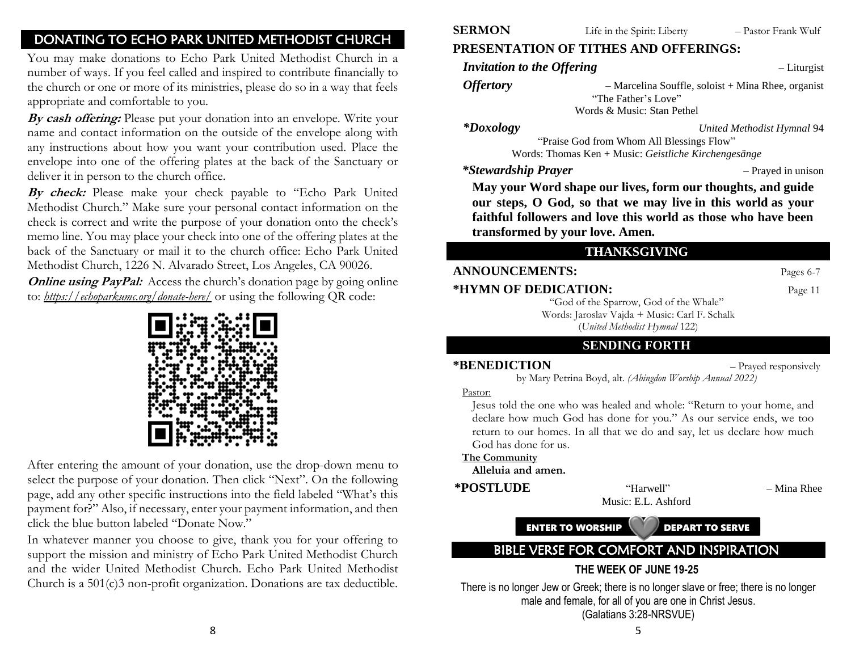# DONATING TO ECHO PARK UNITED METHODIST CHURCH

You may make donations to Echo Park United Methodist Church in a number of ways. If you feel called and inspired to contribute financially to the church or one or more of its ministries, please do so in a way that feels appropriate and comfortable to you.

**By cash offering:** Please put your donation into an envelope. Write your name and contact information on the outside of the envelope along with any instructions about how you want your contribution used. Place the envelope into one of the offering plates at the back of the Sanctuary or deliver it in person to the church office.

**By check:** Please make your check payable to "Echo Park United Methodist Church." Make sure your personal contact information on the check is correct and write the purpose of your donation onto the check's memo line. You may place your check into one of the offering plates at the back of the Sanctuary or mail it to the church office: Echo Park United Methodist Church, 1226 N. Alvarado Street, Los Angeles, CA 90026.

**Online using PayPal:** Access the church's donation page by going online to: *<https://echoparkumc.org/donate-here/>* or using the following QR code:



After entering the amount of your donation, use the drop-down menu to select the purpose of your donation. Then click "Next". On the following page, add any other specific instructions into the field labeled "What's this payment for?" Also, if necessary, enter your payment information, and then click the blue button labeled "Donate Now."

In whatever manner you choose to give, thank you for your offering to support the mission and ministry of Echo Park United Methodist Church and the wider United Methodist Church. Echo Park United Methodist Church is a 501(c)3 non-profit organization. Donations are tax deductible.

# **PRESENTATION OF TITHES AND OFFERINGS:**

*Invitation to the Offering*  $-$  Liturgist

*Offertory* – Marcelina Souffle, soloist + Mina Rhee, organist "The Father's Love" Words & Music: Stan Pethel

*\*Doxology United Methodist Hymnal* 94

"Praise God from Whom All Blessings Flow" Words: Thomas Ken + Music: *Geistliche Kirchengesänge*

*\*Stewardship Prayer* – Prayed in unison

**May your Word shape our lives, form our thoughts, and guide our steps, O God, so that we may live in this world as your faithful followers and love this world as those who have been transformed by your love. Amen.**

#### **THANKSGIVING**

#### **ANNOUNCEMENTS:** Pages 6-7 **\*HYMN OF DEDICATION:** Page 11

"God of the Sparrow, God of the Whale" Words: Jaroslav Vajda + Music: Carl F. Schalk (*United Methodist Hymnal* 122)

### **SENDING FORTH**

**\*BENEDICTION** – Prayed responsively

by Mary Petrina Boyd, alt. *(Abingdon Worship Annual 2022)*

Pastor:

Jesus told the one who was healed and whole: "Return to your home, and declare how much God has done for you." As our service ends, we too return to our homes. In all that we do and say, let us declare how much God has done for us.

**The Community**

**Alleluia and amen.**

**\*POSTLUDE** "Harwell" – Mina Rhee

Music: E.L. Ashford

ENTER TO WORSHIP DEPART TO SERVE

# BIBLE VERSE FOR COMFORT AND INSPIRATION

### **THE WEEK OF JUNE 19-25**

There is no longer Jew or Greek; there is no longer slave or free; there is no longer male and female, for all of you are one in Christ Jesus. (Galatians 3:28-NRSVUE)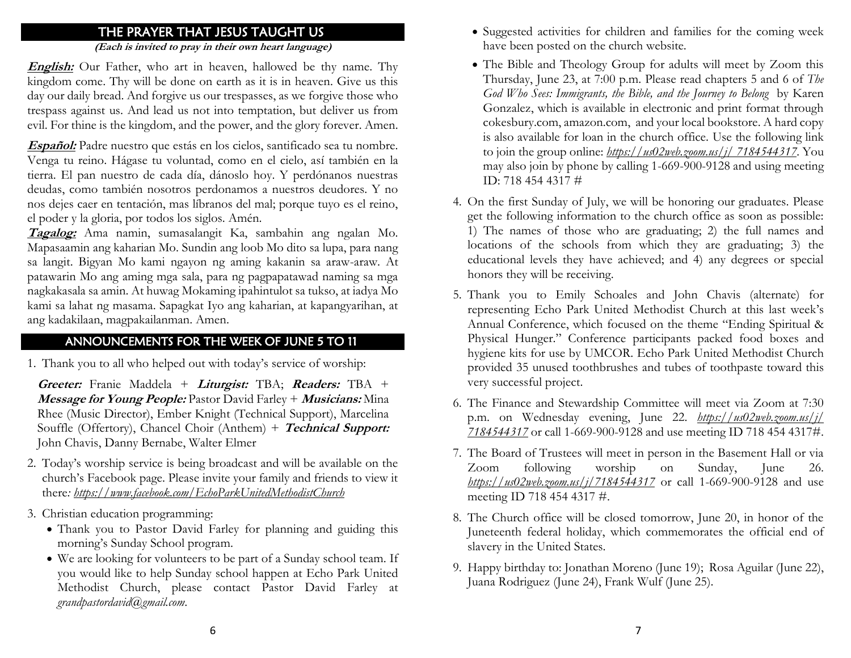# THE PRAYER THAT JESUS TAUGHT US

**(Each is invited to pray in their own heart language)**

**English:** Our Father, who art in heaven, hallowed be thy name. Thy kingdom come. Thy will be done on earth as it is in heaven. Give us this day our daily bread. And forgive us our trespasses, as we forgive those who trespass against us. And lead us not into temptation, but deliver us from evil. For thine is the kingdom, and the power, and the glory forever. Amen.

**Español:** Padre nuestro que estás en los cielos, santificado sea tu nombre. Venga tu reino. Hágase tu voluntad, como en el cielo, así también en la tierra. El pan nuestro de cada día, dánoslo hoy. Y perdónanos nuestras deudas, como también nosotros perdonamos a nuestros deudores. Y no nos dejes caer en tentación, mas líbranos del mal; porque tuyo es el reino, el poder y la gloria, por todos los siglos. Amén.

**Tagalog:** Ama namin, sumasalangit Ka, sambahin ang ngalan Mo. Mapasaamin ang kaharian Mo. Sundin ang loob Mo dito sa lupa, para nang sa langit. Bigyan Mo kami ngayon ng aming kakanin sa araw-araw. At patawarin Mo ang aming mga sala, para ng pagpapatawad naming sa mga nagkakasala sa amin. At huwag Mokaming ipahintulot sa tukso, at iadya Mo kami sa lahat ng masama. Sapagkat Iyo ang kaharian, at kapangyarihan, at ang kadakilaan, magpakailanman. Amen.

### ANNOUNCEMENTS FOR THE WEEK OF JUNE 5 TO 11

1. Thank you to all who helped out with today's service of worship:

**Greeter:** Franie Maddela + **Liturgist:** TBA; **Readers:** TBA + **Message for Young People:** Pastor David Farley + **Musicians:** Mina Rhee (Music Director), Ember Knight (Technical Support), Marcelina Souffle (Offertory), Chancel Choir (Anthem) + **Technical Support:**  John Chavis, Danny Bernabe, Walter Elmer

- 2. Today's worship service is being broadcast and will be available on the church's Facebook page. Please invite your family and friends to view it there*:<https://www.facebook.com/EchoParkUnitedMethodistChurch>*
- 3. Christian education programming:
	- Thank you to Pastor David Farley for planning and guiding this morning's Sunday School program.
	- We are looking for volunteers to be part of a Sunday school team. If you would like to help Sunday school happen at Echo Park United Methodist Church, please contact Pastor David Farley at *grandpastordavid@gmail.com*.
- 5 Suggested activities for children and families for the coming week have been posted on the church website.
- The Bible and Theology Group for adults will meet by Zoom this Thursday, June 23, at 7:00 p.m. Please read chapters 5 and 6 of *The God Who Sees: Immigrants, the Bible, and the Journey to Belong* by Karen Gonzalez, which is available in electronic and print format through cokesbury.com, amazon.com, and your local bookstore. A hard copy is also available for loan in the church office. Use the following link to join the group online: *[https://us02web.zoom.us/j/](https://us02web.zoom.us/j/7184544317) 7184544317.* You may also join by phone by calling 1-669-900-9128 and using meeting ID: 718 454 4317 #
- 4. On the first Sunday of July, we will be honoring our graduates. Please get the following information to the church office as soon as possible: 1) The names of those who are graduating; 2) the full names and locations of the schools from which they are graduating; 3) the educational levels they have achieved; and 4) any degrees or special honors they will be receiving.
- 5. Thank you to Emily Schoales and John Chavis (alternate) for representing Echo Park United Methodist Church at this last week's Annual Conference, which focused on the theme "Ending Spiritual & Physical Hunger." Conference participants packed food boxes and hygiene kits for use by UMCOR. Echo Park United Methodist Church provided 35 unused toothbrushes and tubes of toothpaste toward this very successful project.
- 6. The Finance and Stewardship Committee will meet via Zoom at 7:30 p.m. on Wednesday evening, June 22. *[https://us02web.zoom.us/j/](https://us02web.zoom.us/j/%207184544317)  [7184544317](https://us02web.zoom.us/j/%207184544317)* or call 1-669-900-9128 and use meeting ID 718 454 4317#.
- 7. The Board of Trustees will meet in person in the Basement Hall or via Zoom following worship on Sunday, June 26. *<https://us02web.zoom.us/j/7184544317>* or call 1-669-900-9128 and use meeting ID 718 454 4317 #.
- 8. The Church office will be closed tomorrow, June 20, in honor of the Juneteenth federal holiday, which commemorates the official end of slavery in the United States.
- 9. Happy birthday to: Jonathan Moreno (June 19); Rosa Aguilar (June 22), Juana Rodriguez (June 24), Frank Wulf (June 25).